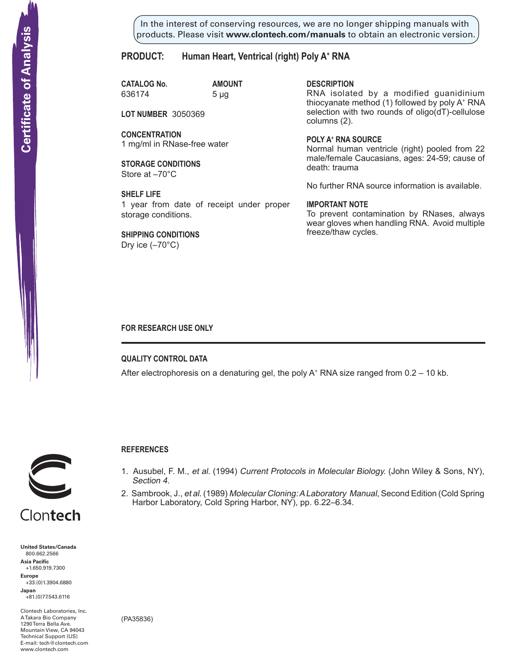In the interest of conserving resources, we are no longer shipping manuals with products. Please visit **www.clontech.com/manuals** to obtain an electronic version.

## **PRODUCT: Human Heart, Ventrical (right) Poly A+ RNA**

**CATALOG No. AMOUNT** 636174 5 µg

**LOT NUMBER** 3050369

**CONCENTRATION** 1 mg/ml in RNase-free water

**STORAGE CONDITIONS** Store at –70°C

**SHELF LIFE** 1 year from date of receipt under proper storage conditions.

**SHIPPING CONDITIONS** Dry ice (–70°C)

**description**

RNA isolated by a modified guanidinium thiocyanate method (1) followed by poly A+ RNA selection with two rounds of oligo(dT)-cellulose columns (2).

**Poly a+ RNA source** Normal human ventricle (right) pooled from 22 male/female Caucasians, ages: 24-59; cause of death: trauma

No further RNA source information is available.

### **IMPORTANT NOTE**

To prevent contamination by RNases, always wear gloves when handling RNA. Avoid multiple freeze/thaw cycles.

### **FOR RESEARCH USE ONLY**

**QUALITY CONTROL DATA**

**References**

Section 4.

After electrophoresis on a denaturing gel, the poly  $A^+$  RNA size ranged from 0.2 – 10 kb.

1. Ausubel, F. M., et al. (1994) Current Protocols in Molecular Biology. (John Wiley & Sons, NY),

2. Sambrook, J., et al. (1989) Molecular Cloning: A Laboratory Manual, Second Edition (Cold Spring

Harbor Laboratory, Cold Spring Harbor, NY), pp. 6.22–6.34.



**United States/Canada** 800.662.2566 **Asia Pacific** +1.650.919.7300 **Europe** +33.(0)1.3904.6880 **Japan** +81.(0)77.543.6116

Clontech Laboratories, Inc. A Takara Bio Company 1290 Terra Bella Ave. Mountain View, CA 94043 Technical Support (US) E-mail: tech@clontech.com

(PA35836)

# Clontech